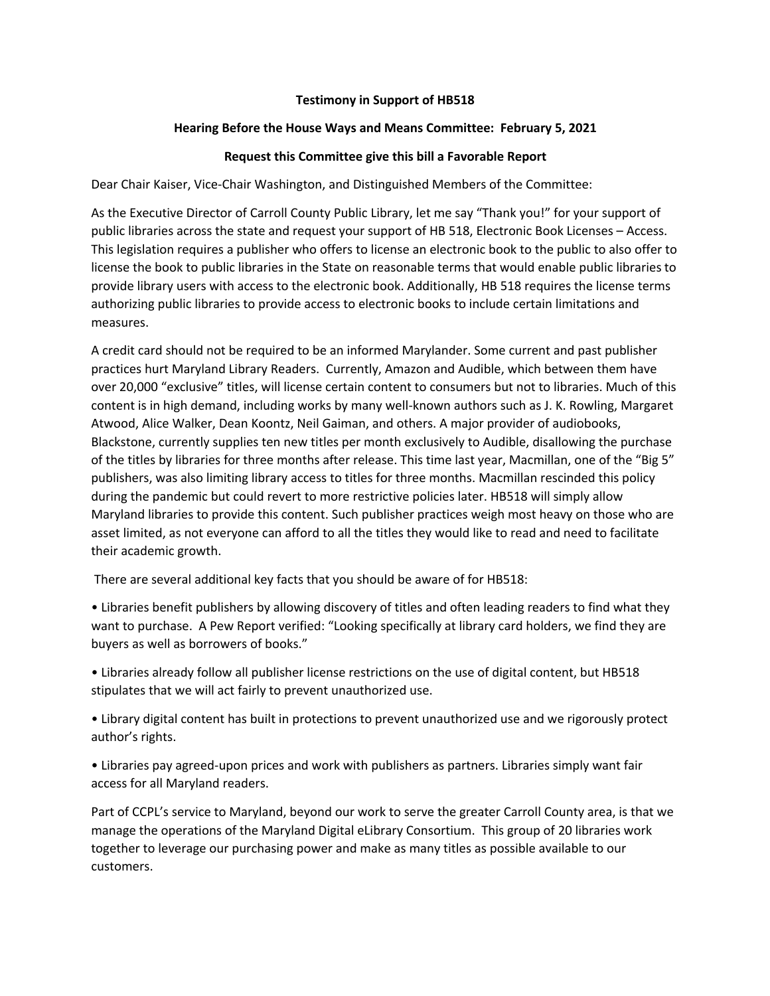## **Testimony in Support of HB518**

## **Hearing Before the House Ways and Means Committee: February 5, 2021**

## **Request this Committee give this bill a Favorable Report**

Dear Chair Kaiser, Vice-Chair Washington, and Distinguished Members of the Committee:

As the Executive Director of Carroll County Public Library, let me say "Thank you!" for your support of public libraries across the state and request your support of HB 518, Electronic Book Licenses – Access. This legislation requires a publisher who offers to license an electronic book to the public to also offer to license the book to public libraries in the State on reasonable terms that would enable public libraries to provide library users with access to the electronic book. Additionally, HB 518 requires the license terms authorizing public libraries to provide access to electronic books to include certain limitations and measures.

A credit card should not be required to be an informed Marylander. Some current and past publisher practices hurt Maryland Library Readers. Currently, Amazon and Audible, which between them have over 20,000 "exclusive" titles, will license certain content to consumers but not to libraries. Much of this content is in high demand, including works by many well-known authors such as J. K. Rowling, Margaret Atwood, Alice Walker, Dean Koontz, Neil Gaiman, and others. A major provider of audiobooks, Blackstone, currently supplies ten new titles per month exclusively to Audible, disallowing the purchase of the titles by libraries for three months after release. This time last year, Macmillan, one of the "Big 5" publishers, was also limiting library access to titles for three months. Macmillan rescinded this policy during the pandemic but could revert to more restrictive policies later. HB518 will simply allow Maryland libraries to provide this content. Such publisher practices weigh most heavy on those who are asset limited, as not everyone can afford to all the titles they would like to read and need to facilitate their academic growth.

There are several additional key facts that you should be aware of for HB518:

• Libraries benefit publishers by allowing discovery of titles and often leading readers to find what they want to purchase. A Pew Report verified: "Looking specifically at library card holders, we find they are buyers as well as borrowers of books."

• Libraries already follow all publisher license restrictions on the use of digital content, but HB518 stipulates that we will act fairly to prevent unauthorized use.

• Library digital content has built in protections to prevent unauthorized use and we rigorously protect author's rights.

• Libraries pay agreed-upon prices and work with publishers as partners. Libraries simply want fair access for all Maryland readers.

Part of CCPL's service to Maryland, beyond our work to serve the greater Carroll County area, is that we manage the operations of the Maryland Digital eLibrary Consortium. This group of 20 libraries work together to leverage our purchasing power and make as many titles as possible available to our customers.